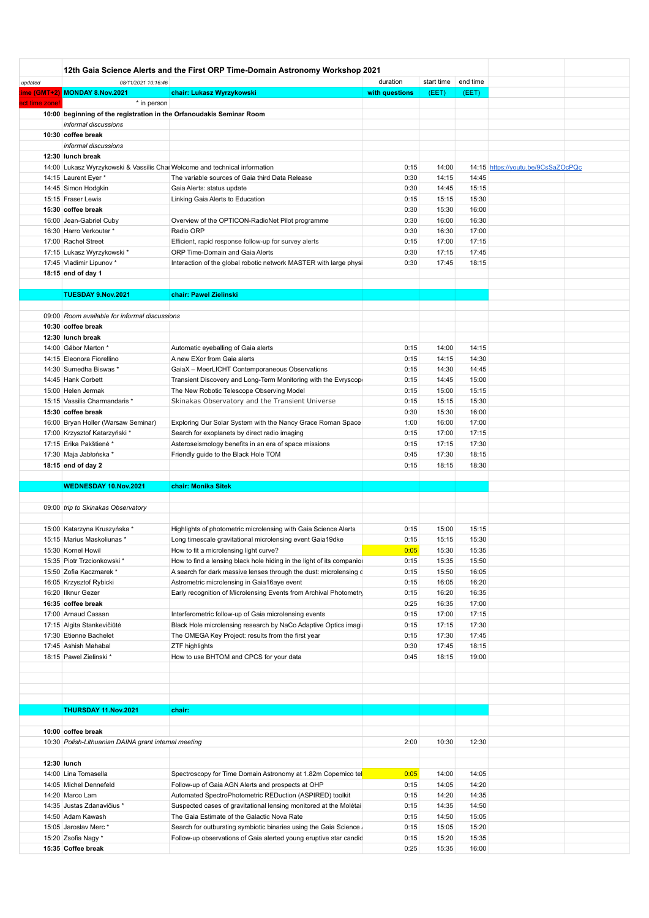| updated        | 08/11/2021 10:16:46                                                        | 12th Gaia Science Alerts and the First ORP Time-Domain Astronomy Workshop 2021 | duration       | start time | end time |                                    |  |
|----------------|----------------------------------------------------------------------------|--------------------------------------------------------------------------------|----------------|------------|----------|------------------------------------|--|
|                | ime (GMT+2) MONDAY 8.Nov.2021                                              | chair: Lukasz Wyrzykowski                                                      | with questions | (EET)      | (EET)    |                                    |  |
|                |                                                                            |                                                                                |                |            |          |                                    |  |
| ect time zone! | * in person                                                                |                                                                                |                |            |          |                                    |  |
|                | 10:00 beginning of the registration in the Orfanoudakis Seminar Room       |                                                                                |                |            |          |                                    |  |
|                | informal discussions                                                       |                                                                                |                |            |          |                                    |  |
|                | 10:30 coffee break                                                         |                                                                                |                |            |          |                                    |  |
|                | informal discussions                                                       |                                                                                |                |            |          |                                    |  |
|                | 12:30 lunch break                                                          |                                                                                |                |            |          |                                    |  |
|                |                                                                            |                                                                                |                |            |          |                                    |  |
|                | 14:00 Lukasz Wyrzykowski & Vassilis Chai Welcome and technical information |                                                                                | 0:15           | 14:00      |          | 14:15 https://youtu.be/9CsSaZOcPQc |  |
|                | 14:15 Laurent Eyer *                                                       | The variable sources of Gaia third Data Release                                | 0:30           | 14:15      | 14:45    |                                    |  |
|                | 14:45 Simon Hodgkin                                                        | Gaia Alerts: status update                                                     | 0:30           | 14:45      | 15:15    |                                    |  |
|                | 15:15 Fraser Lewis                                                         | Linking Gaia Alerts to Education                                               | 0:15           | 15:15      | 15:30    |                                    |  |
|                | 15:30 coffee break                                                         |                                                                                | 0:30           | 15:30      | 16:00    |                                    |  |
|                |                                                                            |                                                                                |                |            |          |                                    |  |
|                | 16:00 Jean-Gabriel Cuby                                                    | Overview of the OPTICON-RadioNet Pilot programme                               | 0:30           | 16:00      | 16:30    |                                    |  |
|                | 16:30 Harro Verkouter *                                                    | Radio ORP                                                                      | 0:30           | 16:30      | 17:00    |                                    |  |
|                | 17:00 Rachel Street                                                        | Efficient, rapid response follow-up for survey alerts                          | 0:15           | 17:00      | 17:15    |                                    |  |
|                | 17:15 Lukasz Wyrzykowski*                                                  | ORP Time-Domain and Gaia Alerts                                                | 0:30           | 17:15      | 17:45    |                                    |  |
|                | 17:45 Vladimir Lipunov *                                                   | Interaction of the global robotic network MASTER with large physi              | 0:30           | 17:45      | 18:15    |                                    |  |
|                |                                                                            |                                                                                |                |            |          |                                    |  |
|                | 18:15 end of day 1                                                         |                                                                                |                |            |          |                                    |  |
|                |                                                                            |                                                                                |                |            |          |                                    |  |
|                | TUESDAY 9.Nov.2021                                                         | chair: Pawel Zielinski                                                         |                |            |          |                                    |  |
|                |                                                                            |                                                                                |                |            |          |                                    |  |
|                | 09:00 Room available for informal discussions                              |                                                                                |                |            |          |                                    |  |
|                |                                                                            |                                                                                |                |            |          |                                    |  |
|                | 10:30 coffee break                                                         |                                                                                |                |            |          |                                    |  |
|                | 12:30 lunch break                                                          |                                                                                |                |            |          |                                    |  |
|                | 14:00 Gábor Marton *                                                       | Automatic eyeballing of Gaia alerts                                            | 0:15           | 14:00      | 14:15    |                                    |  |
|                | 14:15 Eleonora Fiorellino                                                  | A new EXor from Gaia alerts                                                    | 0:15           | 14:15      | 14:30    |                                    |  |
|                |                                                                            |                                                                                |                |            |          |                                    |  |
|                | 14:30 Sumedha Biswas *                                                     | GaiaX - MeerLICHT Contemporaneous Observations                                 | 0:15           | 14:30      | 14:45    |                                    |  |
|                | 14:45 Hank Corbett                                                         | Transient Discovery and Long-Term Monitoring with the Evryscop                 | 0:15           | 14:45      | 15:00    |                                    |  |
|                | 15:00 Helen Jermak                                                         | The New Robotic Telescope Observing Model                                      | 0:15           | 15:00      | 15:15    |                                    |  |
|                | 15:15 Vassilis Charmandaris *                                              | Skinakas Observatory and the Transient Universe                                | 0:15           | 15:15      | 15:30    |                                    |  |
|                | 15:30 coffee break                                                         |                                                                                | 0:30           | 15:30      | 16:00    |                                    |  |
|                |                                                                            |                                                                                |                |            |          |                                    |  |
|                | 16:00 Bryan Holler (Warsaw Seminar)                                        | Exploring Our Solar System with the Nancy Grace Roman Space                    | 1:00           | 16:00      | 17:00    |                                    |  |
|                | 17:00 Krzysztof Katarzyński *                                              | Search for exoplanets by direct radio imaging                                  | 0:15           | 17:00      | 17:15    |                                    |  |
|                | 17:15 Erika Pakštienė*                                                     | Asteroseismology benefits in an era of space missions                          | 0:15           | 17:15      | 17:30    |                                    |  |
|                | 17:30 Maja Jabłońska *                                                     | Friendly guide to the Black Hole TOM                                           | 0:45           | 17:30      | 18:15    |                                    |  |
|                |                                                                            |                                                                                | 0:15           | 18:15      | 18:30    |                                    |  |
|                | 18:15 end of day 2                                                         |                                                                                |                |            |          |                                    |  |
|                |                                                                            |                                                                                |                |            |          |                                    |  |
|                | WEDNESDAY 10.Nov.2021                                                      | chair: Monika Sitek                                                            |                |            |          |                                    |  |
|                |                                                                            |                                                                                |                |            |          |                                    |  |
|                | 09:00 trip to Skinakas Observatory                                         |                                                                                |                |            |          |                                    |  |
|                |                                                                            |                                                                                |                |            |          |                                    |  |
|                |                                                                            |                                                                                |                |            |          |                                    |  |
|                | 15:00 Katarzyna Kruszyńska *                                               | Highlights of photometric microlensing with Gaia Science Alerts                | 0:15           | 15:00      | 15:15    |                                    |  |
|                | 15:15 Marius Maskoliunas *                                                 | Long timescale gravitational microlensing event Gaia19dke                      | 0:15           | 15:15      | 15:30    |                                    |  |
|                | 15:30 Kornel Howil                                                         | How to fit a microlensing light curve?                                         | 0:05           | 15:30      | 15:35    |                                    |  |
|                | 15:35 Piotr Trzcionkowski *                                                | How to find a lensing black hole hiding in the light of its companior          | 0:15           | 15:35      | 15:50    |                                    |  |
|                |                                                                            |                                                                                |                |            |          |                                    |  |
|                | 15:50 Zofia Kaczmarek *                                                    | A search for dark massive lenses through the dust: microlensing c              | 0:15           | 15:50      | 16:05    |                                    |  |
|                | 16:05 Krzysztof Rybicki                                                    | Astrometric microlensing in Gaia16aye event                                    | 0:15           | 16:05      | 16:20    |                                    |  |
|                | 16:20 Ilknur Gezer                                                         | Early recognition of Microlensing Events from Archival Photometry              | 0:15           | 16:20      | 16:35    |                                    |  |
|                | 16:35 coffee break                                                         |                                                                                | 0:25           | 16:35      | 17:00    |                                    |  |
|                | 17:00 Arnaud Cassan                                                        | Interferometric follow-up of Gaia microlensing events                          | 0:15           | 17:00      | 17:15    |                                    |  |
|                |                                                                            |                                                                                |                |            |          |                                    |  |
|                | 17:15 Algita Stankevičiūtė                                                 | Black Hole microlensing research by NaCo Adaptive Optics imagi                 | 0:15           | 17:15      | 17:30    |                                    |  |
|                | 17:30 Etienne Bachelet                                                     | The OMEGA Key Project: results from the first year                             | 0:15           | 17:30      | 17:45    |                                    |  |
|                | 17:45 Ashish Mahabal                                                       | ZTF highlights                                                                 | 0:30           | 17:45      | 18:15    |                                    |  |
|                | 18:15 Pawel Zielinski *                                                    | How to use BHTOM and CPCS for your data                                        | 0:45           | 18:15      | 19:00    |                                    |  |
|                |                                                                            |                                                                                |                |            |          |                                    |  |
|                |                                                                            |                                                                                |                |            |          |                                    |  |
|                |                                                                            |                                                                                |                |            |          |                                    |  |
|                |                                                                            |                                                                                |                |            |          |                                    |  |
|                |                                                                            |                                                                                |                |            |          |                                    |  |
|                | THURSDAY 11.Nov.2021                                                       | chair:                                                                         |                |            |          |                                    |  |
|                |                                                                            |                                                                                |                |            |          |                                    |  |
|                | 10:00 coffee break                                                         |                                                                                |                |            |          |                                    |  |
|                |                                                                            |                                                                                |                |            |          |                                    |  |
|                | 10:30 Polish-Lithuanian DAINA grant internal meeting                       |                                                                                | 2:00           | 10:30      | 12:30    |                                    |  |
|                |                                                                            |                                                                                |                |            |          |                                    |  |
|                | 12:30 lunch                                                                |                                                                                |                |            |          |                                    |  |
|                |                                                                            |                                                                                |                |            |          |                                    |  |
|                | 14:00 Lina Tomasella                                                       | Spectroscopy for Time Domain Astronomy at 1.82m Copernico tel                  | 0:05           | 14:00      | 14:05    |                                    |  |
|                | 14:05 Michel Dennefeld                                                     | Follow-up of Gaia AGN Alerts and prospects at OHP                              | 0:15           | 14:05      | 14:20    |                                    |  |
|                | 14:20 Marco Lam                                                            | Automated SpectroPhotometric REDuction (ASPIRED) toolkit                       | 0:15           | 14:20      | 14:35    |                                    |  |
|                | 14:35 Justas Zdanavičius *                                                 | Suspected cases of gravitational lensing monitored at the Moletai              | 0:15           | 14:35      | 14:50    |                                    |  |
|                |                                                                            |                                                                                |                |            |          |                                    |  |
|                |                                                                            |                                                                                |                |            |          |                                    |  |
|                | 14:50 Adam Kawash                                                          | The Gaia Estimate of the Galactic Nova Rate                                    | 0:15           | 14:50      | 15:05    |                                    |  |
|                | 15:05 Jaroslav Merc*                                                       | Search for outbursting symbiotic binaries using the Gaia Science,              | 0:15           | 15:05      | 15:20    |                                    |  |
|                | 15:20 Zsofia Nagy *                                                        | Follow-up observations of Gaia alerted young eruptive star candid              | 0:15           | 15:20      | 15:35    |                                    |  |